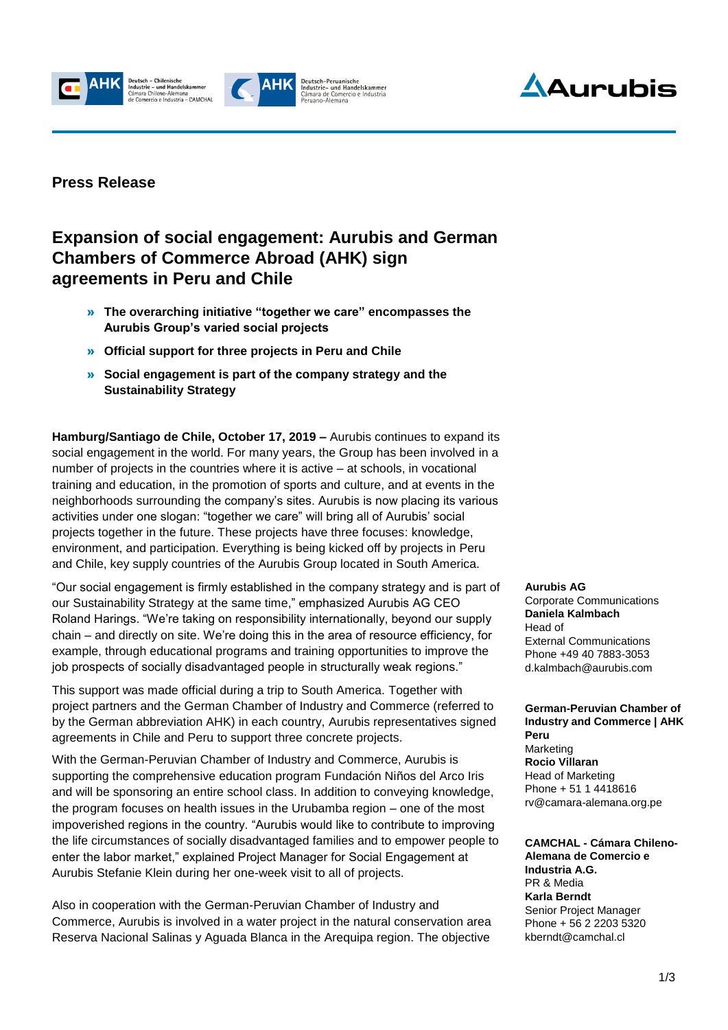





#### **Press Release**

### **Expansion of social engagement: Aurubis and German Chambers of Commerce Abroad (AHK) sign agreements in Peru and Chile**

- » **The overarching initiative "together we care" encompasses the Aurubis Group's varied social projects**
- » **Official support for three projects in Peru and Chile**
- » **Social engagement is part of the company strategy and the Sustainability Strategy**

**Hamburg/Santiago de Chile, October 17, 2019 –** Aurubis continues to expand its social engagement in the world. For many years, the Group has been involved in a number of projects in the countries where it is active – at schools, in vocational training and education, in the promotion of sports and culture, and at events in the neighborhoods surrounding the company's sites. Aurubis is now placing its various activities under one slogan: "together we care" will bring all of Aurubis' social projects together in the future. These projects have three focuses: knowledge, environment, and participation. Everything is being kicked off by projects in Peru and Chile, key supply countries of the Aurubis Group located in South America.

"Our social engagement is firmly established in the company strategy and is part of our Sustainability Strategy at the same time," emphasized Aurubis AG CEO Roland Harings. "We're taking on responsibility internationally, beyond our supply chain – and directly on site. We're doing this in the area of resource efficiency, for example, through educational programs and training opportunities to improve the job prospects of socially disadvantaged people in structurally weak regions."

This support was made official during a trip to South America. Together with project partners and the German Chamber of Industry and Commerce (referred to by the German abbreviation AHK) in each country, Aurubis representatives signed agreements in Chile and Peru to support three concrete projects.

With the German-Peruvian Chamber of Industry and Commerce, Aurubis is supporting the comprehensive education program Fundación Niños del Arco Iris and will be sponsoring an entire school class. In addition to conveying knowledge, the program focuses on health issues in the Urubamba region – one of the most impoverished regions in the country. "Aurubis would like to contribute to improving the life circumstances of socially disadvantaged families and to empower people to enter the labor market," explained Project Manager for Social Engagement at Aurubis Stefanie Klein during her one-week visit to all of projects.

Also in cooperation with the German-Peruvian Chamber of Industry and Commerce, Aurubis is involved in a water project in the natural conservation area Reserva Nacional Salinas y Aguada Blanca in the Arequipa region. The objective **Aurubis AG** Corporate Communications **Daniela Kalmbach** Head of External Communications Phone +49 40 7883-3053 d.kalmbach@aurubis.com

**German-Peruvian Chamber of Industry and Commerce | AHK Peru** Marketing **Rocio Villaran** Head of Marketing Phone + 51 1 4418616 [rv@camara-alemana.org.pe](mailto:rv@camara-alemana.org.pe)

**CAMCHAL - Cámara Chileno-Alemana de Comercio e Industria A.G.** PR & Media **Karla Berndt** Senior Project Manager Phone + 56 2 2203 5320 [kberndt@camchal.cl](mailto:kberndt@camchal.cl)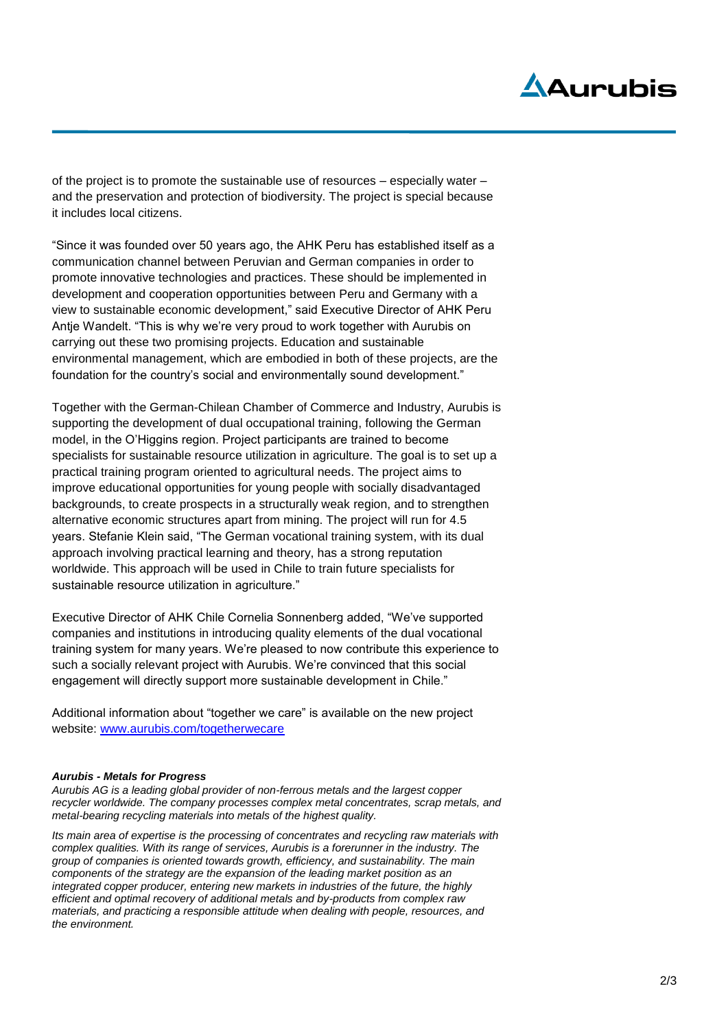# Aduruhis

of the project is to promote the sustainable use of resources – especially water – and the preservation and protection of biodiversity. The project is special because it includes local citizens.

"Since it was founded over 50 years ago, the AHK Peru has established itself as a communication channel between Peruvian and German companies in order to promote innovative technologies and practices. These should be implemented in development and cooperation opportunities between Peru and Germany with a view to sustainable economic development," said Executive Director of AHK Peru Antje Wandelt. "This is why we're very proud to work together with Aurubis on carrying out these two promising projects. Education and sustainable environmental management, which are embodied in both of these projects, are the foundation for the country's social and environmentally sound development."

Together with the German-Chilean Chamber of Commerce and Industry, Aurubis is supporting the development of dual occupational training, following the German model, in the O'Higgins region. Project participants are trained to become specialists for sustainable resource utilization in agriculture. The goal is to set up a practical training program oriented to agricultural needs. The project aims to improve educational opportunities for young people with socially disadvantaged backgrounds, to create prospects in a structurally weak region, and to strengthen alternative economic structures apart from mining. The project will run for 4.5 years. Stefanie Klein said, "The German vocational training system, with its dual approach involving practical learning and theory, has a strong reputation worldwide. This approach will be used in Chile to train future specialists for sustainable resource utilization in agriculture."

Executive Director of AHK Chile Cornelia Sonnenberg added, "We've supported companies and institutions in introducing quality elements of the dual vocational training system for many years. We're pleased to now contribute this experience to such a socially relevant project with Aurubis. We're convinced that this social engagement will directly support more sustainable development in Chile."

Additional information about "together we care" is available on the new project website: [www.aurubis.com/togetherwecare](http://www.aurubis.com/togetherwecare)

#### *Aurubis - Metals for Progress*

*Aurubis AG is a leading global provider of non-ferrous metals and the largest copper recycler worldwide. The company processes complex metal concentrates, scrap metals, and metal-bearing recycling materials into metals of the highest quality.* 

*Its main area of expertise is the processing of concentrates and recycling raw materials with complex qualities. With its range of services, Aurubis is a forerunner in the industry. The group of companies is oriented towards growth, efficiency, and sustainability. The main components of the strategy are the expansion of the leading market position as an integrated copper producer, entering new markets in industries of the future, the highly efficient and optimal recovery of additional metals and by-products from complex raw materials, and practicing a responsible attitude when dealing with people, resources, and the environment.*